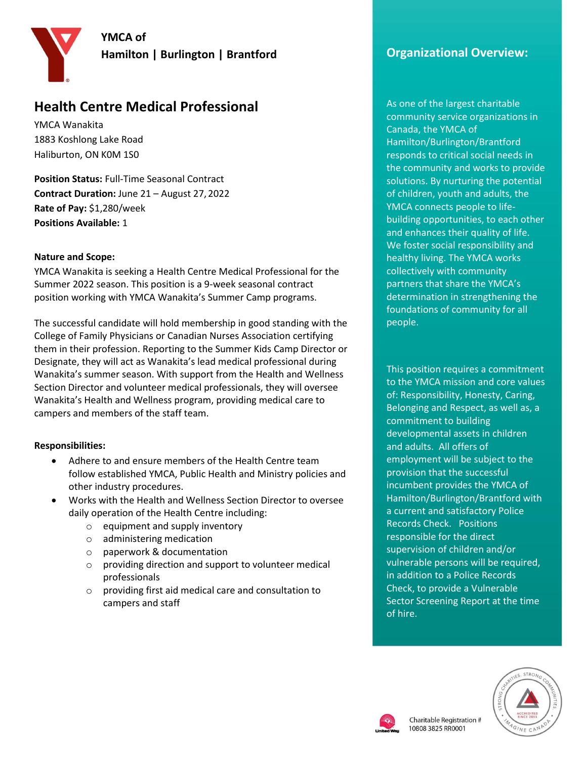**YMCA of** 

**Hamilton | Burlington | Brantford**



# **Health Centre Medical Professional**

YMCA Wanakita 1883 Koshlong Lake Road Haliburton, ON K0M 1S0

**Position Status:** Full-Time Seasonal Contract **Contract Duration:** June 21 – August 27, 2022 **Rate of Pay:** \$1,280/week **Positions Available:** 1

#### **Nature and Scope:**

YMCA Wanakita is seeking a Health Centre Medical Professional for the Summer 2022 season. This position is a 9-week seasonal contract position working with YMCA Wanakita's Summer Camp programs.

The successful candidate will hold membership in good standing with the College of Family Physicians or Canadian Nurses Association certifying them in their profession. Reporting to the Summer Kids Camp Director or Designate, they will act as Wanakita's lead medical professional during Wanakita's summer season. With support from the Health and Wellness Section Director and volunteer medical professionals, they will oversee Wanakita's Health and Wellness program, providing medical care to campers and members of the staff team.

## **Responsibilities:**

- Adhere to and ensure members of the Health Centre team follow established YMCA, Public Health and Ministry policies and other industry procedures.
- Works with the Health and Wellness Section Director to oversee daily operation of the Health Centre including:
	- o equipment and supply inventory
	- o administering medication
	- o paperwork & documentation
	- o providing direction and support to volunteer medical professionals
	- o providing first aid medical care and consultation to campers and staff

# **Organizational Overview:**

As one of the largest charitable community service organizations in Canada, the YMCA of Hamilton/Burlington/Brantford responds to critical social needs in the community and works to provide solutions. By nurturing the potential of children, youth and adults, the YMCA connects people to lifebuilding opportunities, to each other and enhances their quality of life. We foster social responsibility and healthy living. The YMCA works collectively with community partners that share the YMCA's determination in strengthening the foundations of community for all people.

This position requires a commitment to the YMCA mission and core values of: Responsibility, Honesty, Caring, Belonging and Respect, as well as, a commitment to building developmental assets in children and adults. All offers of employment will be subject to the provision that the successful incumbent provides the YMCA of Hamilton/Burlington/Brantford with a current and satisfactory Police Records Check. Positions responsible for the direct supervision of children and/or vulnerable persons will be required, in addition to a Police Records Check, to provide a Vulnerable Sector Screening Report at the time of hire.



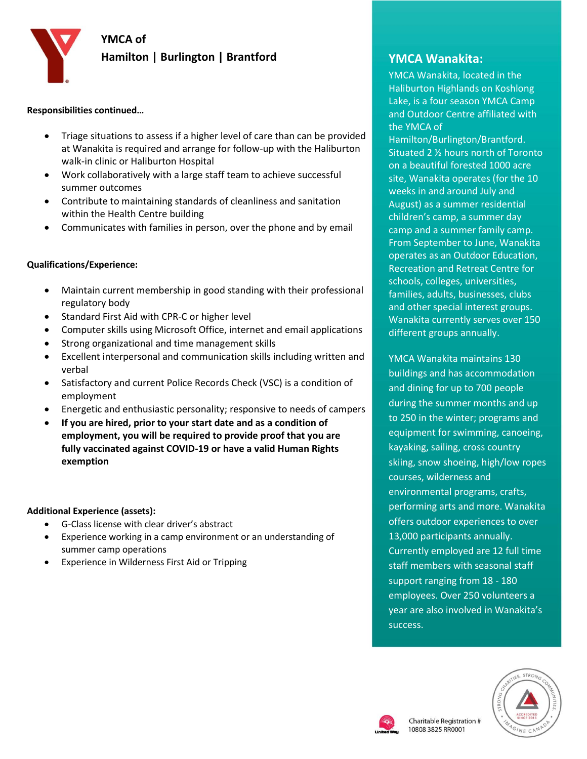**YMCA of** 

## **Hamilton | Burlington | Brantford**



#### **Responsibilities continued…**

- Triage situations to assess if a higher level of care than can be provided at Wanakita is required and arrange for follow-up with the Haliburton walk-in clinic or Haliburton Hospital
- Work collaboratively with a large staff team to achieve successful summer outcomes
- Contribute to maintaining standards of cleanliness and sanitation within the Health Centre building
- Communicates with families in person, over the phone and by email

#### **Qualifications/Experience:**

- Maintain current membership in good standing with their professional regulatory body
- Standard First Aid with CPR-C or higher level
- Computer skills using Microsoft Office, internet and email applications
- Strong organizational and time management skills
- Excellent interpersonal and communication skills including written and verbal
- Satisfactory and current Police Records Check (VSC) is a condition of employment
- Energetic and enthusiastic personality; responsive to needs of campers
- **If you are hired, prior to your start date and as a condition of employment, you will be required to provide proof that you are fully vaccinated against COVID-19 or have a valid Human Rights exemption**

## **Additional Experience (assets):**

- G-Class license with clear driver's abstract
- Experience working in a camp environment or an understanding of summer camp operations
- Experience in Wilderness First Aid or Tripping

# **YMCA Wanakita:**

YMCA Wanakita, located in the Haliburton Highlands on Koshlong Lake, is a four season YMCA Camp and Outdoor Centre affiliated with the YMCA of

Hamilton/Burlington/Brantford. Situated 2 ½ hours north of Toronto on a beautiful forested 1000 acre site, Wanakita operates (for the 10 weeks in and around July and August) as a summer residential children's camp, a summer day camp and a summer family camp. From September to June, Wanakita operates as an Outdoor Education, Recreation and Retreat Centre for schools, colleges, universities, families, adults, businesses, clubs and other special interest groups. Wanakita currently serves over 150 different groups annually.

YMCA Wanakita maintains 130 buildings and has accommodation and dining for up to 700 people during the summer months and up to 250 in the winter; programs and equipment for swimming, canoeing, kayaking, sailing, cross country skiing, snow shoeing, high/low ropes courses, wilderness and environmental programs, crafts, performing arts and more. Wanakita offers outdoor experiences to over 13,000 participants annually. Currently employed are 12 full time staff members with seasonal staff support ranging from 18 - 180 employees. Over 250 volunteers a year are also involved in Wanakita's success.